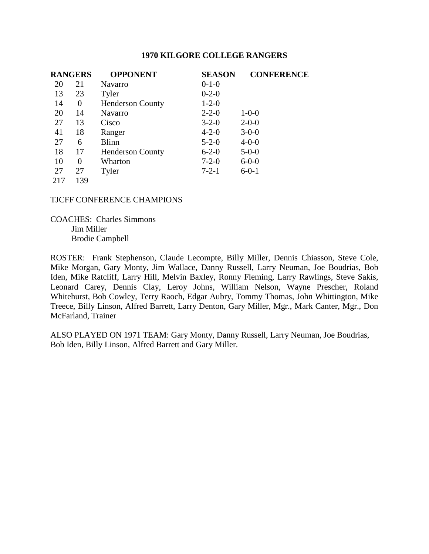| <b>RANGERS</b> |                | <b>OPPONENT</b>         | <b>SEASON</b> | <b>CONFERENCE</b> |
|----------------|----------------|-------------------------|---------------|-------------------|
| 20             | 21             | <b>Navarro</b>          | $0-1-0$       |                   |
| 13             | 23             | Tyler                   | $0 - 2 - 0$   |                   |
| 14             | $\overline{0}$ | <b>Henderson County</b> | $1 - 2 - 0$   |                   |
| 20             | 14             | <b>Navarro</b>          | $2 - 2 - 0$   | $1 - 0 - 0$       |
| 27             | 13             | Cisco                   | $3 - 2 - 0$   | $2 - 0 - 0$       |
| 41             | 18             | Ranger                  | $4 - 2 - 0$   | $3 - 0 - 0$       |
| 27             | 6              | <b>Blinn</b>            | $5 - 2 - 0$   | $4 - 0 - 0$       |
| 18             | 17             | <b>Henderson County</b> | $6 - 2 - 0$   | $5 - 0 - 0$       |
| 10             | 0              | Wharton                 | $7 - 2 - 0$   | $6 - 0 - 0$       |
| 27             | 27             | Tyler                   | $7 - 2 - 1$   | $6 - 0 - 1$       |
| 217            | 139            |                         |               |                   |

TJCFF CONFERENCE CHAMPIONS

COACHES: Charles Simmons Jim Miller Brodie Campbell

ROSTER: Frank Stephenson, Claude Lecompte, Billy Miller, Dennis Chiasson, Steve Cole, Mike Morgan, Gary Monty, Jim Wallace, Danny Russell, Larry Neuman, Joe Boudrias, Bob Iden, Mike Ratcliff, Larry Hill, Melvin Baxley, Ronny Fleming, Larry Rawlings, Steve Sakis, Leonard Carey, Dennis Clay, Leroy Johns, William Nelson, Wayne Prescher, Roland Whitehurst, Bob Cowley, Terry Raoch, Edgar Aubry, Tommy Thomas, John Whittington, Mike Treece, Billy Linson, Alfred Barrett, Larry Denton, Gary Miller, Mgr., Mark Canter, Mgr., Don McFarland, Trainer

ALSO PLAYED ON 1971 TEAM: Gary Monty, Danny Russell, Larry Neuman, Joe Boudrias, Bob Iden, Billy Linson, Alfred Barrett and Gary Miller.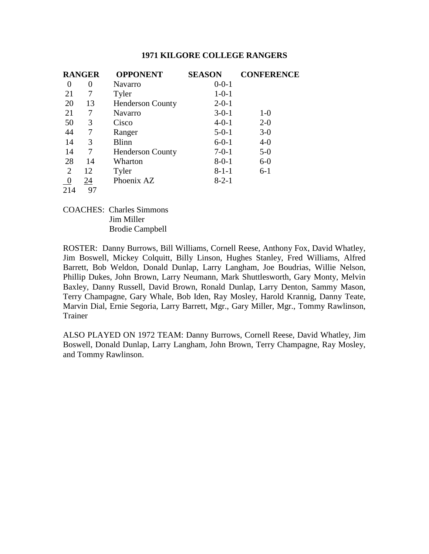| <b>RANGER</b>  |    | <b>OPPONENT</b>         | <b>SEASON</b> | <b>CONFERENCE</b> |
|----------------|----|-------------------------|---------------|-------------------|
| 0              | 0  | <b>Navarro</b>          | $0 - 0 - 1$   |                   |
| 21             | 7  | Tyler                   | $1 - 0 - 1$   |                   |
| 20             | 13 | <b>Henderson County</b> | $2 - 0 - 1$   |                   |
| 21             | 7  | <b>Navarro</b>          | $3-0-1$       | $1-0$             |
| 50             | 3  | Cisco                   | $4 - 0 - 1$   | $2 - 0$           |
| 44             | 7  | Ranger                  | $5-0-1$       | $3-0$             |
| 14             | 3  | <b>Blinn</b>            | $6 - 0 - 1$   | $4 - 0$           |
| 14             | 7  | <b>Henderson County</b> | $7-0-1$       | $5-0$             |
| 28             | 14 | Wharton                 | $8 - 0 - 1$   | $6-0$             |
| $\overline{2}$ | 12 | Tyler                   | $8 - 1 - 1$   | $6 - 1$           |
|                | 24 | Phoenix AZ              | $8 - 2 - 1$   |                   |
| 214            | 97 |                         |               |                   |

COACHES: Charles Simmons Jim Miller Brodie Campbell

ROSTER: Danny Burrows, Bill Williams, Cornell Reese, Anthony Fox, David Whatley, Jim Boswell, Mickey Colquitt, Billy Linson, Hughes Stanley, Fred Williams, Alfred Barrett, Bob Weldon, Donald Dunlap, Larry Langham, Joe Boudrias, Willie Nelson, Phillip Dukes, John Brown, Larry Neumann, Mark Shuttlesworth, Gary Monty, Melvin Baxley, Danny Russell, David Brown, Ronald Dunlap, Larry Denton, Sammy Mason, Terry Champagne, Gary Whale, Bob Iden, Ray Mosley, Harold Krannig, Danny Teate, Marvin Dial, Ernie Segoria, Larry Barrett, Mgr., Gary Miller, Mgr., Tommy Rawlinson, Trainer

ALSO PLAYED ON 1972 TEAM: Danny Burrows, Cornell Reese, David Whatley, Jim Boswell, Donald Dunlap, Larry Langham, John Brown, Terry Champagne, Ray Mosley, and Tommy Rawlinson.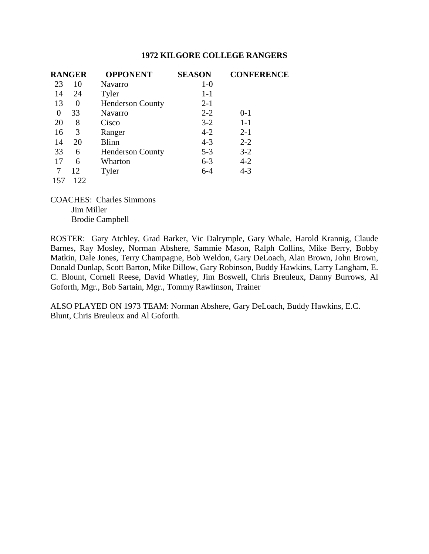| <b>RANGER</b> |          | <b>OPPONENT</b>         | <b>SEASON</b> | <b>CONFERENCE</b> |
|---------------|----------|-------------------------|---------------|-------------------|
| 23            | 10       | <b>Navarro</b>          | $1-0$         |                   |
| 14            | 24       | Tyler                   | $1 - 1$       |                   |
| 13            | $\Omega$ | <b>Henderson County</b> | $2 - 1$       |                   |
| 0             | 33       | <b>Navarro</b>          | $2 - 2$       | $0 - 1$           |
| 20            | 8        | Cisco                   | $3-2$         | $1 - 1$           |
| 16            | 3        | Ranger                  | $4 - 2$       | $2 - 1$           |
| 14            | 20       | <b>Blinn</b>            | $4 - 3$       | $2 - 2$           |
| 33            | 6        | <b>Henderson County</b> | $5 - 3$       | $3 - 2$           |
| 17            | 6        | Wharton                 | $6 - 3$       | $4 - 2$           |
|               | 12       | Tyler                   | $6 - 4$       | $4 - 3$           |
| 157           |          |                         |               |                   |

COACHES: Charles Simmons Jim Miller Brodie Campbell

ROSTER: Gary Atchley, Grad Barker, Vic Dalrymple, Gary Whale, Harold Krannig, Claude Barnes, Ray Mosley, Norman Abshere, Sammie Mason, Ralph Collins, Mike Berry, Bobby Matkin, Dale Jones, Terry Champagne, Bob Weldon, Gary DeLoach, Alan Brown, John Brown, Donald Dunlap, Scott Barton, Mike Dillow, Gary Robinson, Buddy Hawkins, Larry Langham, E. C. Blount, Cornell Reese, David Whatley, Jim Boswell, Chris Breuleux, Danny Burrows, Al Goforth, Mgr., Bob Sartain, Mgr., Tommy Rawlinson, Trainer

ALSO PLAYED ON 1973 TEAM: Norman Abshere, Gary DeLoach, Buddy Hawkins, E.C. Blunt, Chris Breuleux and Al Goforth.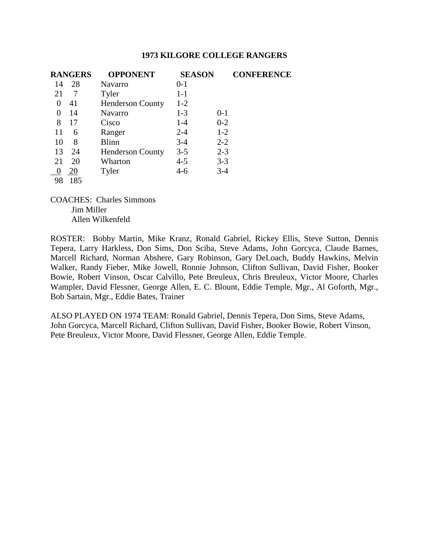| <b>RANGERS</b> | <b>OPPONENT</b>         | <b>SEASON</b>      | <b>CONFERENCE</b> |
|----------------|-------------------------|--------------------|-------------------|
| 28<br>14       | Navarro                 | $0 - 1$            |                   |
| 21<br>7        | Tyler                   | $1 - 1$            |                   |
| 41<br>$\theta$ | <b>Henderson County</b> | $1 - 2$            |                   |
| 14<br>$\theta$ | Navarro                 | $1 - 3$<br>$0 - 1$ |                   |
| 8<br>17        | Cisco                   | $0 - 2$<br>$1 - 4$ |                   |
| 11<br>6        | Ranger                  | $1-2$<br>$2 - 4$   |                   |
| 8<br>10        | <b>Blinn</b>            | $2 - 2$<br>$3-4$   |                   |
| 13<br>24       | <b>Henderson County</b> | $3 - 5$<br>$2 - 3$ |                   |
| 20<br>21       | Wharton                 | $4 - 5$<br>$3 - 3$ |                   |
| 20             | Tyler                   | $3-4$<br>$4-6$     |                   |
| 185<br>98      |                         |                    |                   |

COACHES: Charles Simmons Jim Miller Allen Wilkenfeld

ROSTER: Bobby Martin, Mike Kranz, Ronald Gabriel, Rickey Ellis, Steve Sutton, Dennis Tepera, Larry Harkless, Don Sims, Don Sciba, Steve Adams, John Gorcyca, Claude Barnes, Marcell Richard, Norman Abshere, Gary Robinson, Gary DeLoach, Buddy Hawkins, Melvin Walker, Randy Fieber, Mike Jowell, Ronnie Johnson, Clifton Sullivan, David Fisher, Booker Bowie, Robert Vinson, Oscar Calvillo, Pete Breuleux, Chris Breuleux, Victor Moore, Charles Wampler, David Flessner, George Allen, E. C. Blount, Eddie Temple, Mgr., Al Goforth, Mgr., Bob Sartain, Mgr., Eddie Bates, Trainer

ALSO PLAYED ON 1974 TEAM: Ronald Gabriel, Dennis Tepera, Don Sims, Steve Adams, John Gorcyca, Marcell Richard, Clifton Sullivan, David Fisher, Booker Bowie, Robert Vinson, Pete Breuleux, Victor Moore, David Flessner, George Allen, Eddie Temple.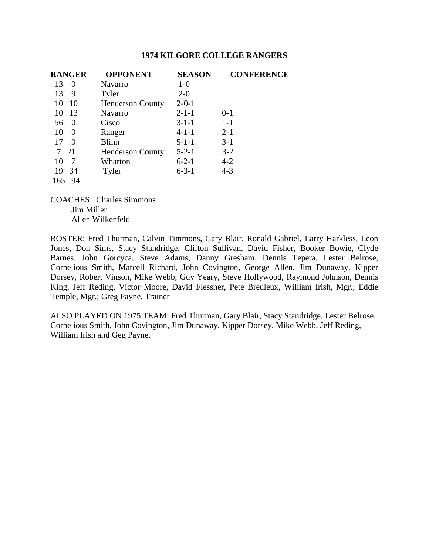| <b>RANGER</b>  | <b>OPPONENT</b>         | <b>SEASON</b> | <b>CONFERENCE</b> |
|----------------|-------------------------|---------------|-------------------|
| 13<br>$\theta$ | <b>Navarro</b>          | $1-0$         |                   |
| 13<br>9        | Tyler                   | $2 - 0$       |                   |
| 10<br>10       | <b>Henderson County</b> | $2 - 0 - 1$   |                   |
| 13<br>10       | <b>Navarro</b>          | $2 - 1 - 1$   | $0 - 1$           |
| 56<br>$\theta$ | Cisco                   | $3 - 1 - 1$   | $1-1$             |
| 10<br>$\Omega$ | Ranger                  | $4 - 1 - 1$   | $2 - 1$           |
| 17<br>$\Omega$ | <b>Blinn</b>            | $5 - 1 - 1$   | $3-1$             |
| 7 21           | <b>Henderson County</b> | $5 - 2 - 1$   | $3-2$             |
| 10             | Wharton                 | $6 - 2 - 1$   | $4 - 2$           |
| 19<br>34       | Tyler                   | $6 - 3 - 1$   | $4 - 3$           |
| 165<br>94      |                         |               |                   |

COACHES: Charles Simmons Jim Miller Allen Wilkenfeld

ROSTER: Fred Thurman, Calvin Timmons, Gary Blair, Ronald Gabriel, Larry Harkless, Leon Jones, Don Sims, Stacy Standridge, Clifton Sullivan, David Fisher, Booker Bowie, Clyde Barnes, John Gorcyca, Steve Adams, Danny Gresham, Dennis Tepera, Lester Belrose, Cornelious Smith, Marcell Richard, John Covington, George Allen, Jim Dunaway, Kipper Dorsey, Robert Vinson, Mike Webb, Guy Yeary, Steve Hollywood, Raymond Johnson, Dennis King, Jeff Reding, Victor Moore, David Flessner, Pete Breuleux, William Irish, Mgr.; Eddie Temple, Mgr.; Greg Payne, Trainer

ALSO PLAYED ON 1975 TEAM: Fred Thurman, Gary Blair, Stacy Standridge, Lester Belrose, Cornelious Smith, John Covington, Jim Dunaway, Kipper Dorsey, Mike Webb, Jeff Reding, William Irish and Geg Payne.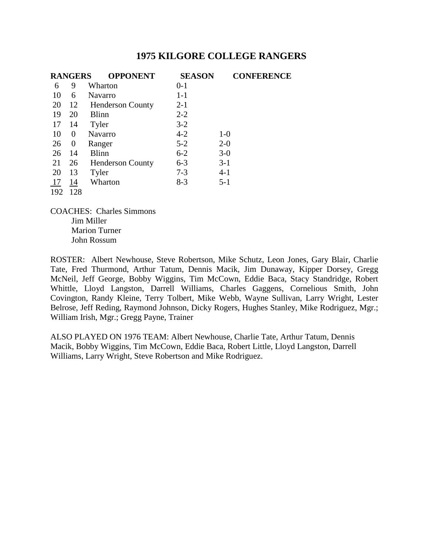|     | <b>RANGERS</b> | <b>OPPONENT</b>         | <b>SEASON</b> |         | <b>CONFERENCE</b> |
|-----|----------------|-------------------------|---------------|---------|-------------------|
| 6   | 9              | Wharton                 | $0 - 1$       |         |                   |
| 10  | 6              | <b>Navarro</b>          | $1 - 1$       |         |                   |
| 20  | 12             | <b>Henderson County</b> | $2 - 1$       |         |                   |
| 19  | 20             | Blinn                   | $2 - 2$       |         |                   |
| 17  | 14             | Tyler                   | $3-2$         |         |                   |
| 10  | $\theta$       | <b>Navarro</b>          | $4 - 2$       | $1-0$   |                   |
| 26  | $\theta$       | Ranger                  | $5 - 2$       | $2 - 0$ |                   |
| 26  | 14             | <b>Blinn</b>            | $6 - 2$       | $3-0$   |                   |
| 21  | 26             | <b>Henderson County</b> | $6 - 3$       | $3-1$   |                   |
| 20  | 13             | Tyler                   | $7 - 3$       | $4-1$   |                   |
| 17  | 14             | Wharton                 | $8-3$         | $5 - 1$ |                   |
| 192 | 128            |                         |               |         |                   |

COACHES: Charles Simmons Jim Miller Marion Turner John Rossum

ROSTER: Albert Newhouse, Steve Robertson, Mike Schutz, Leon Jones, Gary Blair, Charlie Tate, Fred Thurmond, Arthur Tatum, Dennis Macik, Jim Dunaway, Kipper Dorsey, Gregg McNeil, Jeff George, Bobby Wiggins, Tim McCown, Eddie Baca, Stacy Standridge, Robert Whittle, Lloyd Langston, Darrell Williams, Charles Gaggens, Cornelious Smith, John Covington, Randy Kleine, Terry Tolbert, Mike Webb, Wayne Sullivan, Larry Wright, Lester Belrose, Jeff Reding, Raymond Johnson, Dicky Rogers, Hughes Stanley, Mike Rodriguez, Mgr.; William Irish, Mgr.; Gregg Payne, Trainer

ALSO PLAYED ON 1976 TEAM: Albert Newhouse, Charlie Tate, Arthur Tatum, Dennis Macik, Bobby Wiggins, Tim McCown, Eddie Baca, Robert Little, Lloyd Langston, Darrell Williams, Larry Wright, Steve Robertson and Mike Rodriguez.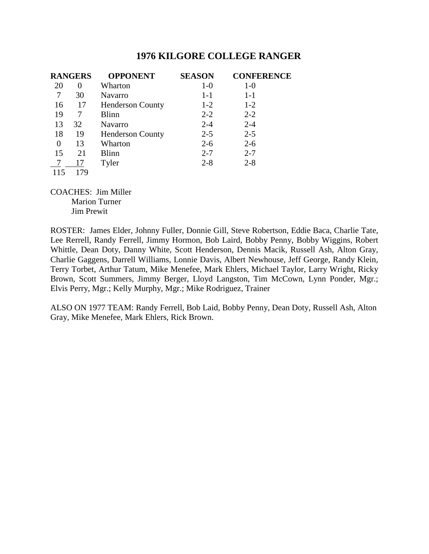| <b>RANGERS</b> |          | <b>OPPONENT</b>         | <b>SEASON</b> | <b>CONFERENCE</b> |
|----------------|----------|-------------------------|---------------|-------------------|
| 20             | $\theta$ | Wharton                 | $1-0$         | $1-0$             |
|                | 30       | Navarro                 | $1-1$         | $1 - 1$           |
| 16             | 17       | <b>Henderson County</b> | $1-2$         | $1-2$             |
| 19             | 7        | Blinn                   | $2 - 2$       | $2 - 2$           |
| 13             | 32       | <b>Navarro</b>          | $2 - 4$       | $2 - 4$           |
| 18             | 19       | <b>Henderson County</b> | $2 - 5$       | $2 - 5$           |
| $\theta$       | 13       | Wharton                 | $2 - 6$       | $2 - 6$           |
| 15             | 21       | Blinn                   | $2 - 7$       | $2 - 7$           |
|                | 17       | Tyler                   | $2 - 8$       | $2 - 8$           |
| 115            | 179      |                         |               |                   |

COACHES: Jim Miller Marion Turner Jim Prewit

ROSTER: James Elder, Johnny Fuller, Donnie Gill, Steve Robertson, Eddie Baca, Charlie Tate, Lee Rerrell, Randy Ferrell, Jimmy Hormon, Bob Laird, Bobby Penny, Bobby Wiggins, Robert Whittle, Dean Doty, Danny White, Scott Henderson, Dennis Macik, Russell Ash, Alton Gray, Charlie Gaggens, Darrell Williams, Lonnie Davis, Albert Newhouse, Jeff George, Randy Klein, Terry Torbet, Arthur Tatum, Mike Menefee, Mark Ehlers, Michael Taylor, Larry Wright, Ricky Brown, Scott Summers, Jimmy Berger, Lloyd Langston, Tim McCown, Lynn Ponder, Mgr.; Elvis Perry, Mgr.; Kelly Murphy, Mgr.; Mike Rodriguez, Trainer

ALSO ON 1977 TEAM: Randy Ferrell, Bob Laid, Bobby Penny, Dean Doty, Russell Ash, Alton Gray, Mike Menefee, Mark Ehlers, Rick Brown.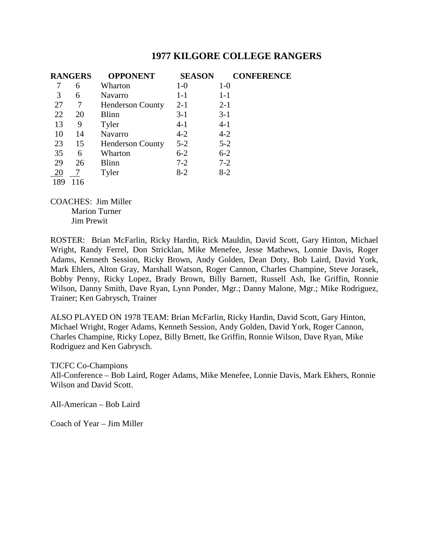|     | <b>RANGERS</b> | <b>OPPONENT</b>         | <b>SEASON</b> | <b>CONFERENCE</b> |
|-----|----------------|-------------------------|---------------|-------------------|
|     | 6              | Wharton                 | $1-0$         | $1-0$             |
| 3   | 6              | Navarro                 | $1 - 1$       | $1-1$             |
| 27  | 7              | <b>Henderson County</b> | $2 - 1$       | $2 - 1$           |
| 22  | 20             | Blinn                   | $3-1$         | $3-1$             |
| 13  | 9              | Tyler                   | $4-1$         | $4 - 1$           |
| 10  | 14             | <b>Navarro</b>          | $4 - 2$       | $4 - 2$           |
| 23  | 15             | <b>Henderson County</b> | $5 - 2$       | $5 - 2$           |
| 35  | 6              | Wharton                 | $6 - 2$       | $6 - 2$           |
| 29  | 26             | <b>Blinn</b>            | $7 - 2$       | $7 - 2$           |
| 20  |                | Tyler                   | $8-2$         | $8-2$             |
| 189 | 116            |                         |               |                   |

COACHES: Jim Miller Marion Turner Jim Prewit

ROSTER: Brian McFarlin, Ricky Hardin, Rick Mauldin, David Scott, Gary Hinton, Michael Wright, Randy Ferrel, Don Stricklan, Mike Menefee, Jesse Mathews, Lonnie Davis, Roger Adams, Kenneth Session, Ricky Brown, Andy Golden, Dean Doty, Bob Laird, David York, Mark Ehlers, Alton Gray, Marshall Watson, Roger Cannon, Charles Champine, Steve Jorasek, Bobby Penny, Ricky Lopez, Brady Brown, Billy Barnett, Russell Ash, Ike Griffin, Ronnie Wilson, Danny Smith, Dave Ryan, Lynn Ponder, Mgr.; Danny Malone, Mgr.; Mike Rodriguez, Trainer; Ken Gabrysch, Trainer

ALSO PLAYED ON 1978 TEAM: Brian McFarlin, Ricky Hardin, David Scott, Gary Hinton, Michael Wright, Roger Adams, Kenneth Session, Andy Golden, David York, Roger Cannon, Charles Champine, Ricky Lopez, Billy Brnett, Ike Griffin, Ronnie Wilson, Dave Ryan, Mike Rodriguez and Ken Gabrysch.

TJCFC Co-Champions

All-Conference – Bob Laird, Roger Adams, Mike Menefee, Lonnie Davis, Mark Ekhers, Ronnie Wilson and David Scott.

All-American – Bob Laird

Coach of Year – Jim Miller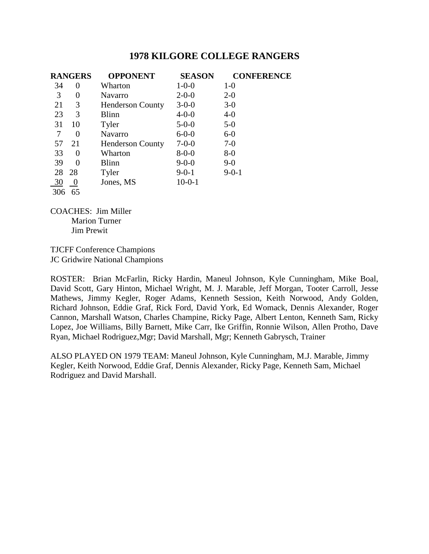| <b>RANGERS</b> |                  | <b>OPPONENT</b>         | <b>SEASON</b> | <b>CONFERENCE</b> |
|----------------|------------------|-------------------------|---------------|-------------------|
| 34             | 0                | Wharton                 | $1 - 0 - 0$   | $1-0$             |
| 3              | 0                | Navarro                 | $2 - 0 - 0$   | $2 - 0$           |
| 21             | 3                | <b>Henderson County</b> | $3 - 0 - 0$   | $3-0$             |
| 23             | 3                | <b>Blinn</b>            | $4 - 0 - 0$   | $4-0$             |
| 31             | 10               | Tyler                   | $5 - 0 - 0$   | $5-0$             |
| 7              | 0                | <b>Navarro</b>          | $6 - 0 - 0$   | $6-0$             |
| 57             | 21               | <b>Henderson County</b> | $7 - 0 - 0$   | $7-0$             |
| 33             | 0                | Wharton                 | $8 - 0 - 0$   | $8-0$             |
| 39             | 0                | Blinn                   | $9 - 0 - 0$   | $9-0$             |
| 28             | 28               | Tyler                   | $9 - 0 - 1$   | $9 - 0 - 1$       |
| 30             | $\boldsymbol{0}$ | Jones, MS               | $10-0-1$      |                   |
| 306            | 65               |                         |               |                   |

COACHES: Jim Miller Marion Turner Jim Prewit

TJCFF Conference Champions JC Gridwire National Champions

ROSTER: Brian McFarlin, Ricky Hardin, Maneul Johnson, Kyle Cunningham, Mike Boal, David Scott, Gary Hinton, Michael Wright, M. J. Marable, Jeff Morgan, Tooter Carroll, Jesse Mathews, Jimmy Kegler, Roger Adams, Kenneth Session, Keith Norwood, Andy Golden, Richard Johnson, Eddie Graf, Rick Ford, David York, Ed Womack, Dennis Alexander, Roger Cannon, Marshall Watson, Charles Champine, Ricky Page, Albert Lenton, Kenneth Sam, Ricky Lopez, Joe Williams, Billy Barnett, Mike Carr, Ike Griffin, Ronnie Wilson, Allen Protho, Dave Ryan, Michael Rodriguez,Mgr; David Marshall, Mgr; Kenneth Gabrysch, Trainer

ALSO PLAYED ON 1979 TEAM: Maneul Johnson, Kyle Cunningham, M.J. Marable, Jimmy Kegler, Keith Norwood, Eddie Graf, Dennis Alexander, Ricky Page, Kenneth Sam, Michael Rodriguez and David Marshall.